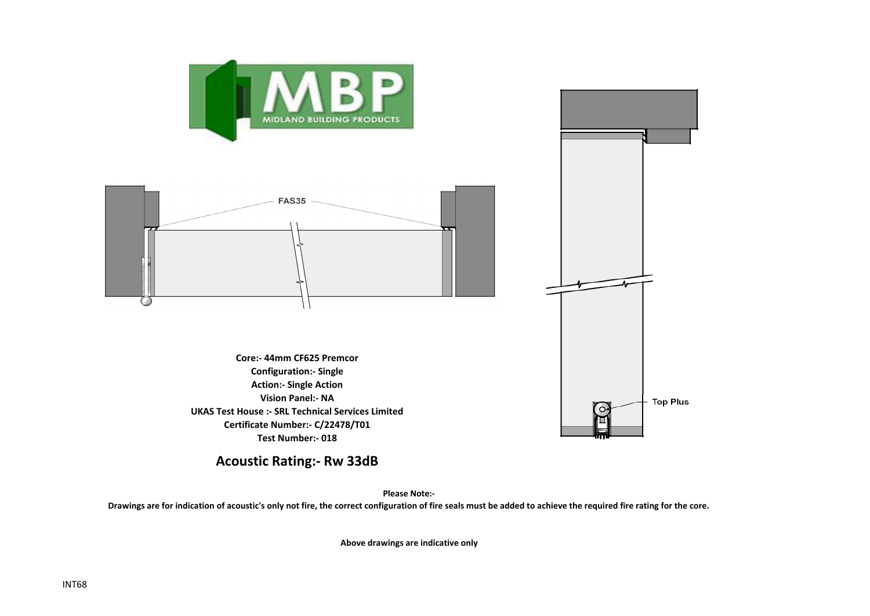

**Acoustic Rating:- Rw 33dB**

**Please Note:-** 

**Drawings are for indication of acoustic's only not fire, the correct configuration of fire seals must be added to achieve the required fire rating for the core.**

**Above drawings are indicative only**